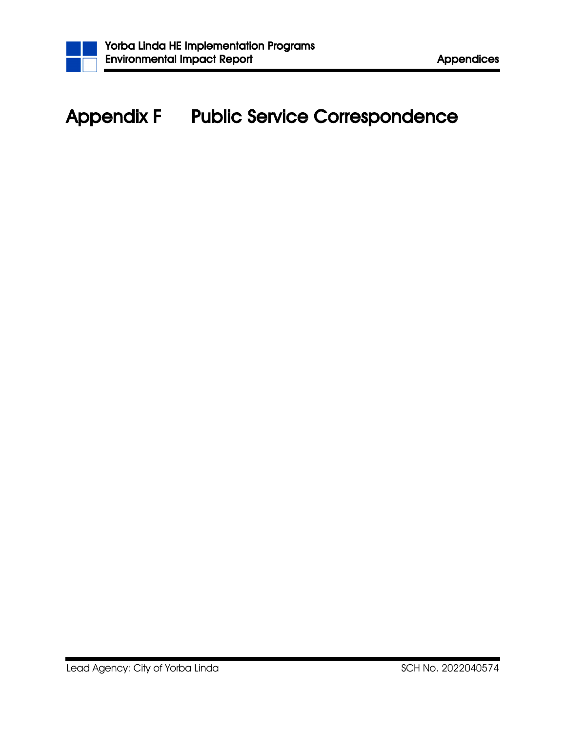

## Appendix F Public Service Correspondence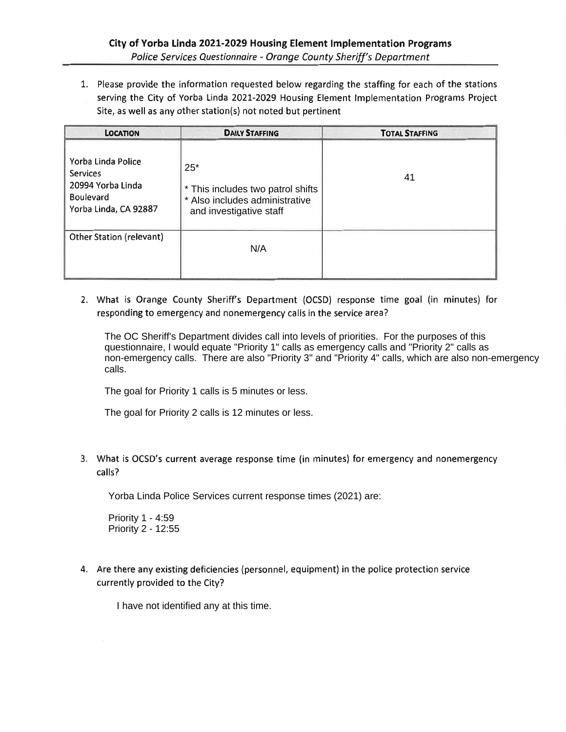1. Please provide the information requested below regarding the staffing for each of the stations serving the City of Yorba Linda 2021-2029 Housing Element Implementation Programs Project Site, as well as any other station(s) not noted but pertinent

| <b>LOCATION</b>                                                                                         | <b>DAILY STAFFING</b>                                                                                   | <b>TOTAL STAFFING</b> |
|---------------------------------------------------------------------------------------------------------|---------------------------------------------------------------------------------------------------------|-----------------------|
| Yorba Linda Police<br><b>Services</b><br>20994 Yorba Linda<br><b>Boulevard</b><br>Yorba Linda, CA 92887 | $25*$<br>* This includes two patrol shifts<br>* Also includes administrative<br>and investigative staff | 41                    |
| Other Station (relevant)                                                                                | N/A                                                                                                     |                       |

2. What is Orange County Sheriff's Department (OCSD) response time goal (in minutes) for responding to emergency and nonemergency calls in the service area?

The OC Sheriff's Department divides call into levels of priorities. For the purposes of this questionnaire, I would equate "Priority 1" calls as emergency calls and "Priority 2" calls as non-emergency calls. There are also "Priority 3" and "Priority 4" calls, which are also non-emergency calls.

The goal for Priority 1 calls is 5 minutes or less.

The goal for Priority 2 calls is 12 minutes or less.

3. What is OCSD's current average response time (in minutes) for emergency and nonemergency calls?

Yorba Linda Police Services current response times (2021) are:

Priority 1 - 4:59 Priority 2 - 12:55

4. Are there any existing deficiencies (personnel, equipment) in the police protection service currently provided to the City?

I have not identified any at this time.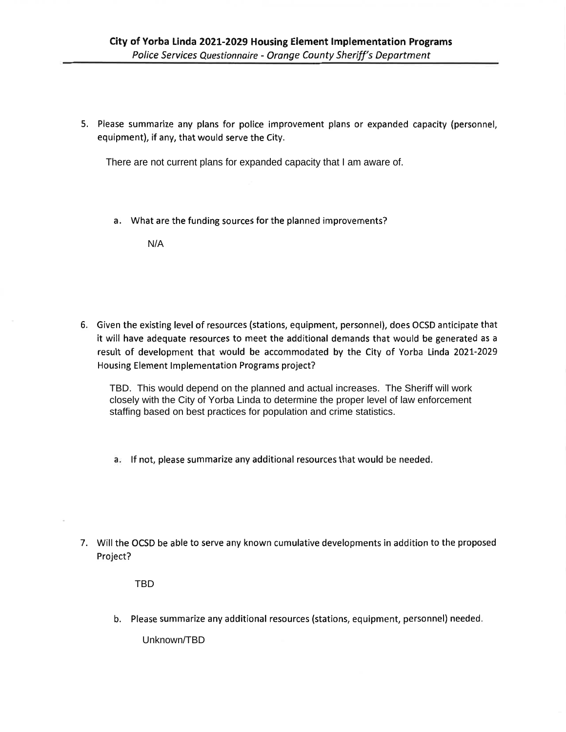5. Please summarize any plans for police improvement plans or expanded capacity (personnel, equipment), if any, that would serve the City.

There are not current plans for expanded capacity that I am aware of.

a. What are the funding sources for the planned improvements?

 $N/A$ 

6. Given the existing level of resources (stations, equipment, personnel), does OCSD anticipate that it will have adequate resources to meet the additional demands that would be generated as a result of development that would be accommodated by the City of Yorba Linda 2021-2029 Housing Element Implementation Programs project?

TBD. This would depend on the planned and actual increases. The Sheriff will work closely with the City of Yorba Linda to determine the proper level of law enforcement staffing based on best practices for population and crime statistics.

- a. If not, please summarize any additional resources that would be needed.
- 7. Will the OCSD be able to serve any known cumulative developments in addition to the proposed Project?

**TBD** 

b. Please summarize any additional resources (stations, equipment, personnel) needed.

Unknown/TBD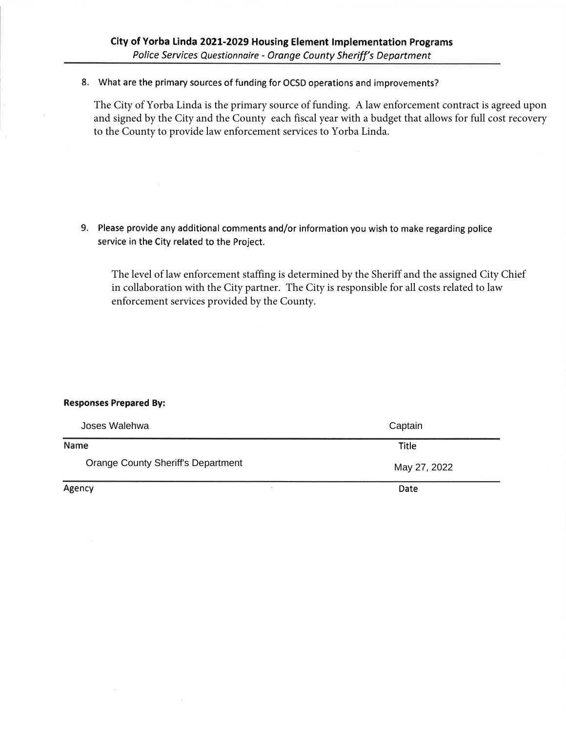8. What are the primary sources of funding for OCSD operations and improvements?

The City of Yorba Linda is the primary source of funding. A law enforcement contract is agreed upon and signed by the City and the County each fiscal year with a budget that allows for full cost recovery to the County to provide law enforcement services to Yorba Linda.

9. Please provide any additional comments and/or information you wish to make regarding police service in the City related to the Project.

The level of law enforcement staffing is determined by the Sheriff and the assigned City Chief in collaboration with the City partner. The City is responsible for all costs related to law enforcement services provided by the County.

## **Responses Prepared By:**

| Joses Walehwa                             |                                                                                                                                                                            | Captain      |  |
|-------------------------------------------|----------------------------------------------------------------------------------------------------------------------------------------------------------------------------|--------------|--|
| Name                                      |                                                                                                                                                                            | <b>Title</b> |  |
| <b>Orange County Sheriff's Department</b> |                                                                                                                                                                            | May 27, 2022 |  |
| Agency                                    | $\begin{array}{c} \begin{array}{c} \begin{array}{c} \begin{array}{c} \begin{array}{c} \end{array} \end{array} \end{array} \end{array} \end{array} \end{array} \end{array}$ | Date         |  |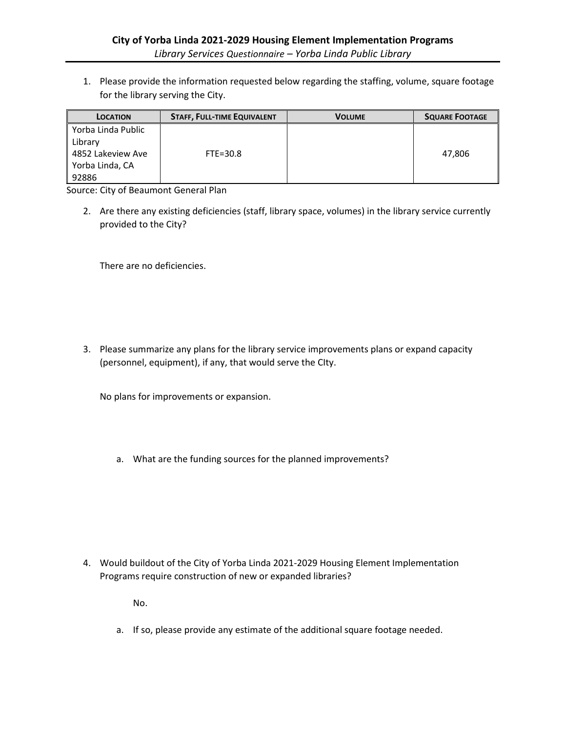1. Please provide the information requested below regarding the staffing, volume, square footage for the library serving the City.

| <b>LOCATION</b>    | <b>STAFF, FULL-TIME EQUIVALENT</b> | <b>VOLUME</b> | <b>SQUARE FOOTAGE</b> |
|--------------------|------------------------------------|---------------|-----------------------|
| Yorba Linda Public |                                    |               |                       |
| Library            |                                    |               |                       |
| 4852 Lakeview Ave  | $FTE=30.8$                         |               | 47.806                |
| Yorba Linda, CA    |                                    |               |                       |
| 92886              |                                    |               |                       |

Source: City of Beaumont General Plan

2. Are there any existing deficiencies (staff, library space, volumes) in the library service currently provided to the City?

There are no deficiencies.

3. Please summarize any plans for the library service improvements plans or expand capacity (personnel, equipment), if any, that would serve the CIty.

No plans for improvements or expansion.

a. What are the funding sources for the planned improvements?

4. Would buildout of the City of Yorba Linda 2021-2029 Housing Element Implementation Programs require construction of new or expanded libraries?

No.

a. If so, please provide any estimate of the additional square footage needed.